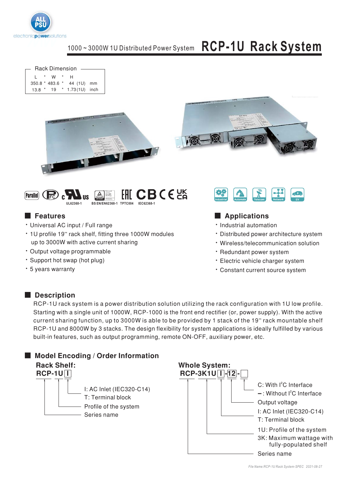

**Rack Dimension**  $L \rightarrow W \rightarrow$  $H$ 350.8 \* 483.6 \* 44 (1U) mm 13.8 \* 19 \* 1.73(1U) inch







### **Executer** Features

- · Universal AC input / Full range
- 1U profile 19" rack shelf, fitting three 1000W modules up to 3000W with active current sharing
- · Output voltage programmable
- · Support hot swap (hot plug)
- \* 5 years warranty



## Applications

- · Industrial automation
- Distributed power architecture system
- · Wireless/telecommunication solution
- · Redundant power system
- · Electric vehicle charger system
- · Constant current source system

### Description

RCP-1U rack system is a power distribution solution utilizing the rack configuration with 1U low profile. Starting with a single unit of 1000W, RCP-1000 is the front end rectifier (or, power supply). With the active current sharing function, up to 3000W is able to be provided by 1 stack of the 19" rack mountable shelf RCP-1U and 8000W by 3 stacks. The design flexibility for system applications is ideally fulfilled by various built-in features, such as output programming, remote ON-OFF, auxiliary power, etc.

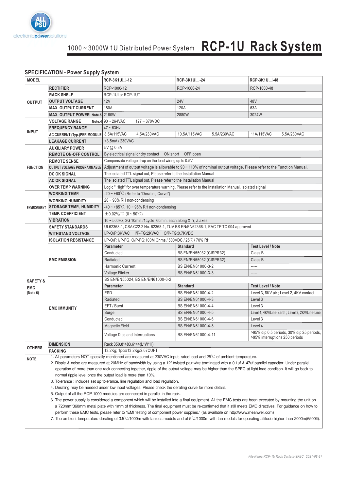

#### **SPECIFICATION - Power Supply System**

| <b>MODEL</b>        |                                                                                                                                                                                                                                                                                                                                                                                                   | RCP-3K1U□-12                                                                                                                                              | RCP-3K1U <sup>-</sup> -24                                                                                                     | <b>RCP-3K1U</b> -48                                                         |  |
|---------------------|---------------------------------------------------------------------------------------------------------------------------------------------------------------------------------------------------------------------------------------------------------------------------------------------------------------------------------------------------------------------------------------------------|-----------------------------------------------------------------------------------------------------------------------------------------------------------|-------------------------------------------------------------------------------------------------------------------------------|-----------------------------------------------------------------------------|--|
|                     | <b>RECTIFIER</b>                                                                                                                                                                                                                                                                                                                                                                                  | RCP-1000-12                                                                                                                                               | RCP-1000-24                                                                                                                   | RCP-1000-48                                                                 |  |
|                     | <b>RACK SHELF</b>                                                                                                                                                                                                                                                                                                                                                                                 | RCP-1UI or RCP-1UT                                                                                                                                        |                                                                                                                               |                                                                             |  |
| <b>OUTPUT</b>       | <b>OUTPUT VOLTAGE</b>                                                                                                                                                                                                                                                                                                                                                                             | 12V                                                                                                                                                       | <b>24V</b>                                                                                                                    | 48V                                                                         |  |
|                     | <b>MAX. OUTPUT CURRENT</b>                                                                                                                                                                                                                                                                                                                                                                        | 180A                                                                                                                                                      | 120A                                                                                                                          | 63A                                                                         |  |
|                     | MAX. OUTPUT POWER Note.5 2160W                                                                                                                                                                                                                                                                                                                                                                    |                                                                                                                                                           | 2880W                                                                                                                         | 3024W                                                                       |  |
|                     | <b>VOLTAGE RANGE</b>                                                                                                                                                                                                                                                                                                                                                                              | Note.4 $90 \sim 264$ VAC<br>$127 - 370VDC$                                                                                                                |                                                                                                                               |                                                                             |  |
|                     | <b>FREQUENCY RANGE</b>                                                                                                                                                                                                                                                                                                                                                                            | $47 \sim 63$ Hz                                                                                                                                           |                                                                                                                               |                                                                             |  |
| <b>INPUT</b>        | AC CURRENT (Typ.)PER MODULE   8.5A/115VAC                                                                                                                                                                                                                                                                                                                                                         | 4.5A/230VAC                                                                                                                                               | 10.5A/115VAC<br>5.5A/230VAC                                                                                                   | 5.5A/230VAC<br>11A/115VAC                                                   |  |
|                     | <b>LEAKAGE CURRENT</b>                                                                                                                                                                                                                                                                                                                                                                            | <3.5mA/230VAC                                                                                                                                             |                                                                                                                               |                                                                             |  |
|                     | <b>AUXILIARY POWER</b>                                                                                                                                                                                                                                                                                                                                                                            | 5V @ 0.3A                                                                                                                                                 |                                                                                                                               |                                                                             |  |
|                     | <b>REMOTE ON-OFF CONTROL</b>                                                                                                                                                                                                                                                                                                                                                                      | By electrical signal or dry contact  ON: short  OFF: open                                                                                                 |                                                                                                                               |                                                                             |  |
|                     | <b>REMOTE SENSE</b>                                                                                                                                                                                                                                                                                                                                                                               | Compensate voltage drop on the load wiring up to 0.5V.                                                                                                    |                                                                                                                               |                                                                             |  |
| <b>FUNCTION</b>     | <b>OUTPUT VOLTAGE PROGRAMMABLE</b>                                                                                                                                                                                                                                                                                                                                                                | Adjustment of output voltage is allowable to 90 ~ 110% of nominal output voltage. Please refer to the Function Manual.                                    |                                                                                                                               |                                                                             |  |
|                     | <b>DC OK SIGNAL</b>                                                                                                                                                                                                                                                                                                                                                                               | The isolated TTL signal out, Please refer to the Installation Manual                                                                                      |                                                                                                                               |                                                                             |  |
|                     | <b>AC OK SIGNAL</b>                                                                                                                                                                                                                                                                                                                                                                               | The isolated TTL signal out, Please refer to the Installation Manual                                                                                      |                                                                                                                               |                                                                             |  |
|                     | <b>OVER TEMP WARNING</b>                                                                                                                                                                                                                                                                                                                                                                          | Logic "High" for over temperature warning, Please refer to the Installation Manual, isolated signal                                                       |                                                                                                                               |                                                                             |  |
|                     | <b>WORKING TEMP.</b>                                                                                                                                                                                                                                                                                                                                                                              | $-20 \sim +60^{\circ}$ C (Refer to "Derating Curve")                                                                                                      |                                                                                                                               |                                                                             |  |
|                     | <b>WORKING HUMIDITY</b>                                                                                                                                                                                                                                                                                                                                                                           | $20 \sim 90\%$ RH non-condensing                                                                                                                          |                                                                                                                               |                                                                             |  |
| <b>ENVIRONMENT</b>  | <b>STORAGE TEMP., HUMIDITY</b>                                                                                                                                                                                                                                                                                                                                                                    | $-40 \sim +85^{\circ}$ C, 10 ~ 95% RH non-condensing                                                                                                      |                                                                                                                               |                                                                             |  |
|                     | <b>TEMP. COEFFICIENT</b>                                                                                                                                                                                                                                                                                                                                                                          | $\pm$ 0.02%/°C (0~50°C)                                                                                                                                   |                                                                                                                               |                                                                             |  |
|                     | <b>VIBRATION</b>                                                                                                                                                                                                                                                                                                                                                                                  | 10 ~ 500Hz, 2G 10min./1cycle, 60min. each along X, Y, Z axes                                                                                              |                                                                                                                               |                                                                             |  |
|                     | <b>SAFETY STANDARDS</b>                                                                                                                                                                                                                                                                                                                                                                           | UL62368-1, CSA C22.2 No. 62368-1, TUV BS EN/EN62368-1, EAC TP TC 004 approved                                                                             |                                                                                                                               |                                                                             |  |
|                     | <b>WITHSTAND VOLTAGE</b>                                                                                                                                                                                                                                                                                                                                                                          | I/P-O/P:3KVAC I/P-FG:2KVAC O/P-FG:0.7KVDC                                                                                                                 |                                                                                                                               |                                                                             |  |
|                     | <b>ISOLATION RESISTANCE</b>                                                                                                                                                                                                                                                                                                                                                                       | I/P-O/P, I/P-FG, O/P-FG:100M Ohms / 500VDC / 25°C/70% RH                                                                                                  |                                                                                                                               |                                                                             |  |
|                     |                                                                                                                                                                                                                                                                                                                                                                                                   | <b>Parameter</b>                                                                                                                                          | <b>Standard</b>                                                                                                               | <b>Test Level / Note</b>                                                    |  |
|                     | <b>EMC EMISSION</b>                                                                                                                                                                                                                                                                                                                                                                               | Conducted                                                                                                                                                 | BS EN/EN55032 (CISPR32)                                                                                                       | Class B                                                                     |  |
|                     |                                                                                                                                                                                                                                                                                                                                                                                                   | Radiated                                                                                                                                                  | BS EN/EN55032 (CISPR32)                                                                                                       | Class B                                                                     |  |
|                     |                                                                                                                                                                                                                                                                                                                                                                                                   | <b>Harmonic Current</b>                                                                                                                                   | BS EN/EN61000-3-2                                                                                                             | -----                                                                       |  |
|                     |                                                                                                                                                                                                                                                                                                                                                                                                   | Voltage Flicker                                                                                                                                           | BS EN/EN61000-3-3                                                                                                             | -----                                                                       |  |
| <b>SAFETY &amp;</b> | <b>EMC IMMUNITY</b>                                                                                                                                                                                                                                                                                                                                                                               | BS EN/EN55024, BS EN/EN61000-6-2                                                                                                                          |                                                                                                                               |                                                                             |  |
| <b>EMC</b>          |                                                                                                                                                                                                                                                                                                                                                                                                   | <b>Parameter</b>                                                                                                                                          | <b>Standard</b>                                                                                                               | <b>Test Level / Note</b>                                                    |  |
| (Note 6)            |                                                                                                                                                                                                                                                                                                                                                                                                   | ESD                                                                                                                                                       | BS EN/EN61000-4-2                                                                                                             | Level 3, 8KV air ; Level 2, 4KV contact                                     |  |
|                     |                                                                                                                                                                                                                                                                                                                                                                                                   | Radiated                                                                                                                                                  | BS EN/EN61000-4-3                                                                                                             | Level 3                                                                     |  |
|                     |                                                                                                                                                                                                                                                                                                                                                                                                   | EFT / Burst                                                                                                                                               | BS EN/EN61000-4-4                                                                                                             | Level 3                                                                     |  |
|                     |                                                                                                                                                                                                                                                                                                                                                                                                   | Surge                                                                                                                                                     | BS EN/EN61000-4-5                                                                                                             | Level 4, 4KV/Line-Earth ; Level 3, 2KV/Line-Line                            |  |
|                     |                                                                                                                                                                                                                                                                                                                                                                                                   | Conducted                                                                                                                                                 | BS EN/EN61000-4-6                                                                                                             | Level 3                                                                     |  |
|                     |                                                                                                                                                                                                                                                                                                                                                                                                   | <b>Magnetic Field</b>                                                                                                                                     | BS EN/EN61000-4-8                                                                                                             | Level 4                                                                     |  |
|                     |                                                                                                                                                                                                                                                                                                                                                                                                   | Voltage Dips and Interruptions                                                                                                                            | BS EN/EN61000-4-11                                                                                                            | >95% dip 0.5 periods, 30% dip 25 periods,<br>>95% interruptions 250 periods |  |
| <b>OTHERS</b>       | <b>DIMENSION</b>                                                                                                                                                                                                                                                                                                                                                                                  | Rack 350.8*483.6*44(L*W*H)                                                                                                                                |                                                                                                                               |                                                                             |  |
|                     | <b>PACKING</b>                                                                                                                                                                                                                                                                                                                                                                                    | 13.2Kg; 1pcs/13.2Kg/2.67CUFT                                                                                                                              |                                                                                                                               |                                                                             |  |
| <b>NOTE</b>         | 1. All parameters NOT specially mentioned are measured at 230VAC input, rated load and $25^{\circ}$ C of ambient temperature.                                                                                                                                                                                                                                                                     |                                                                                                                                                           |                                                                                                                               |                                                                             |  |
|                     |                                                                                                                                                                                                                                                                                                                                                                                                   | 2. Ripple & noise are measured at 20MHz of bandwidth by using a 12" twisted pair-wire terminated with a 0.1uf & 47uf parallel capacitor. Under parallel   |                                                                                                                               |                                                                             |  |
|                     |                                                                                                                                                                                                                                                                                                                                                                                                   | operation of more than one rack connecting together, ripple of the output voltage may be higher than the SPEC at light load condition. It will go back to |                                                                                                                               |                                                                             |  |
|                     |                                                                                                                                                                                                                                                                                                                                                                                                   | normal ripple level once the output load is more than 10%. .                                                                                              |                                                                                                                               |                                                                             |  |
|                     |                                                                                                                                                                                                                                                                                                                                                                                                   | 3. Tolerance: includes set up tolerance, line regulation and load regulation.                                                                             |                                                                                                                               |                                                                             |  |
|                     |                                                                                                                                                                                                                                                                                                                                                                                                   | 4. Derating may be needed under low input voltages. Please check the derating curve for more details.                                                     |                                                                                                                               |                                                                             |  |
|                     | 5. Output of all the RCP-1000 modules are connected in parallel in the rack.<br>6. The power supply is considered a component which will be installed into a final equipment. All the EMC tests are been executed by mounting the unit on<br>a 720mm*360mm metal plate with 1mm of thickness. The final equipment must be re-confirmed that it still meets EMC directives. For guidance on how to |                                                                                                                                                           |                                                                                                                               |                                                                             |  |
|                     |                                                                                                                                                                                                                                                                                                                                                                                                   |                                                                                                                                                           |                                                                                                                               |                                                                             |  |
|                     |                                                                                                                                                                                                                                                                                                                                                                                                   |                                                                                                                                                           | perform these EMC tests, please refer to "EMI testing of component power supplies." (as available on http://www.meanwell.com) |                                                                             |  |
|                     | 7. The ambient temperature derating of $3.5^{\circ}$ C/1000m with fanless models and of $5^{\circ}$ C/1000m with fan models for operating altitude higher than 2000m(6500ft).                                                                                                                                                                                                                     |                                                                                                                                                           |                                                                                                                               |                                                                             |  |
|                     |                                                                                                                                                                                                                                                                                                                                                                                                   |                                                                                                                                                           |                                                                                                                               |                                                                             |  |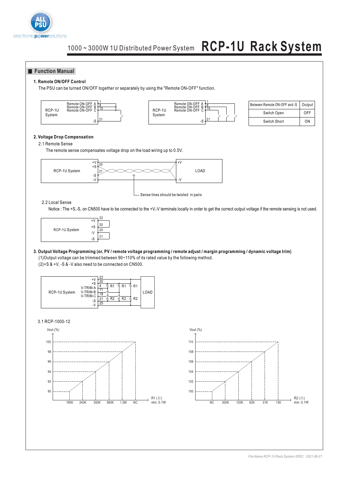

#### **Function Manual**

#### **1. Remote ON/OFF Control**

The PSU can be turned ON/OFF together or separately by using the "Remote ON-OFF" function.





| Between Remote ON-OFF and -S | Output |
|------------------------------|--------|
| Switch Open                  | OFF    |
| Switch Short                 | ΩN     |

#### **2. Voltage Drop Compensation**

2.1 Remote Sense

The remote sense compensates voltage drop on the load wiring up to 0.5V.



#### 2.2 Local Sense

Notice : The +S,-S, on CN500 have to be connected to the +V,-V terminals locally in order to get the correct output voltage if the remote sensing is not used.



(1)Output voltage can be trimmed between 90~110% of its rated value by the following method. (2)+S & +V, -S & -V also need to be connected on CN500. **3. Output Voltage Programming (or, PV / remote voltage programming / remote adjust / margin programming / dynamic voltage trim)**



3.1 RCP-1000-12



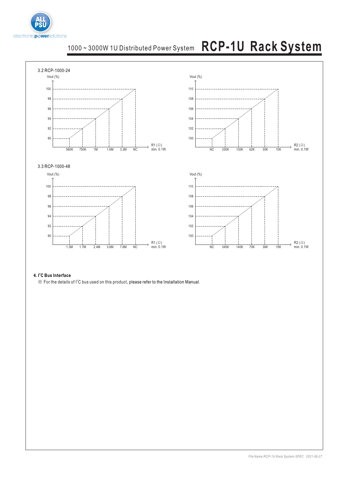



#### **4. I<sup>2</sup>C Bus Interface**

 $\%$  For the details of  $I^2C$  bus used on this product, please refer to the Installation Manual.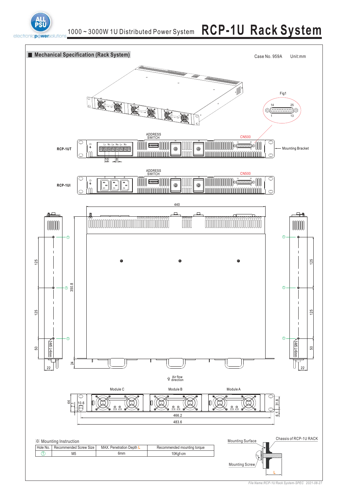